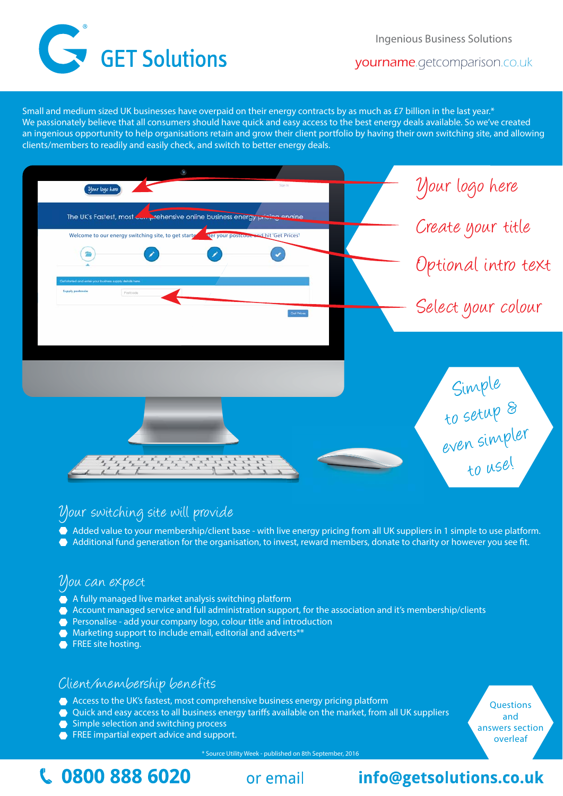Ingenious Business Solutions



yourname.getcomparison.co.uk

Small and medium sized UK businesses have overpaid on their energy contracts by as much as £7 billion in the last year.\* We passionately believe that all consumers should have quick and easy access to the best energy deals available. So we've created an ingenious opportunity to help organisations retain and grow their client portfolio by having their own switching site, and allowing clients/members to readily and easily check, and switch to better energy deals.



# Your switching site will provide

- Added value to your membership/client base with live energy pricing from all UK suppliers in 1 simple to use platform.
- Additional fund generation for the organisation, to invest, reward members, donate to charity or however you see fit.

# You can expect

- A fully managed live market analysis switching platform
- Account managed service and full administration support, for the association and it's membership/clients
- Personalise add your company logo, colour title and introduction
- Marketing support to include email, editorial and adverts\*\*
- **•** FREE site hosting.

# Client/membership benefits

- Access to the UK's fastest, most comprehensive business energy pricing platform
- Quick and easy access to all business energy tariffs available on the market, from all UK suppliers
- Simple selection and switching process
- **FREE** impartial expert advice and support.

**Questions** and answers section overleaf

\* Source Utility Week - published on 8th September, 2016

# **C.** 0800 888 6020 **or email info@getsolutions.co.uk**